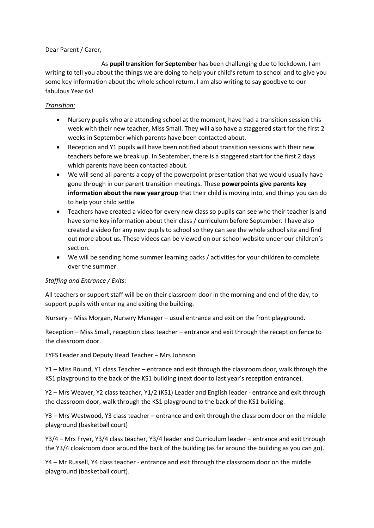Dear Parent / Carer,

 As **pupil transition for September** has been challenging due to lockdown, I am writing to tell you about the things we are doing to help your child's return to school and to give you some key information about the whole school return. I am also writing to say goodbye to our fabulous Year 6s!

## *Transition:*

- Nursery pupils who are attending school at the moment, have had a transition session this week with their new teacher, Miss Small. They will also have a staggered start for the first 2 weeks in September which parents have been contacted about.
- Reception and Y1 pupils will have been notified about transition sessions with their new teachers before we break up. In September, there is a staggered start for the first 2 days which parents have been contacted about.
- We will send all parents a copy of the powerpoint presentation that we would usually have gone through in our parent transition meetings. These **powerpoints give parents key information about the new year group** that their child is moving into, and things you can do to help your child settle.
- Teachers have created a video for every new class so pupils can see who their teacher is and have some key information about their class / curriculum before September. I have also created a video for any new pupils to school so they can see the whole school site and find out more about us. These videos can be viewed on our school website under our children's section.
- We will be sending home summer learning packs / activities for your children to complete over the summer.

## *Staffing and Entrance / Exits:*

All teachers or support staff will be on their classroom door in the morning and end of the day, to support pupils with entering and exiting the building.

Nursery – Miss Morgan, Nursery Manager – usual entrance and exit on the front playground.

Reception – Miss Small, reception class teacher – entrance and exit through the reception fence to the classroom door.

EYFS Leader and Deputy Head Teacher – Mrs Johnson

Y1 – Miss Round, Y1 class Teacher – entrance and exit through the classroom door, walk through the KS1 playground to the back of the KS1 building (next door to last year's reception entrance).

Y2 – Mrs Weaver, Y2 class teacher, Y1/2 (KS1) Leader and English leader - entrance and exit through the classroom door, walk through the KS1 playground to the back of the KS1 building.

Y3 – Mrs Westwood, Y3 class teacher – entrance and exit through the classroom door on the middle playground (basketball court)

Y3/4 – Mrs Fryer, Y3/4 class teacher, Y3/4 leader and Curriculum leader – entrance and exit through the Y3/4 cloakroom door around the back of the building (as far around the building as you can go).

Y4 – Mr Russell, Y4 class teacher - entrance and exit through the classroom door on the middle playground (basketball court).